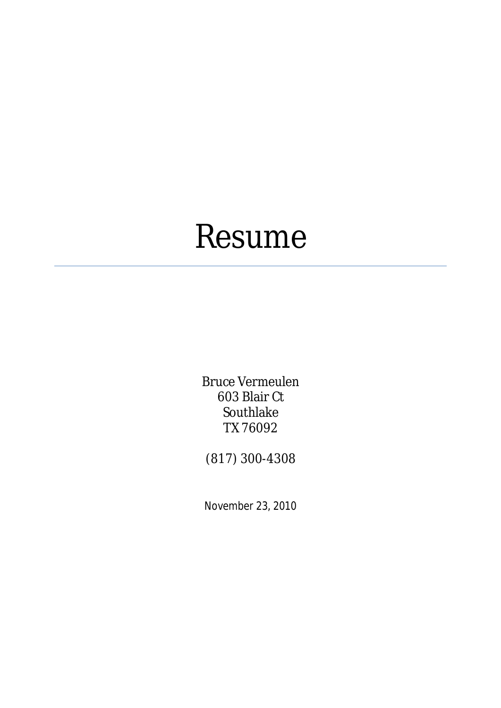# Resume

Bruce Vermeulen 603 Blair Ct Southlake TX 76092

(817) 300-4308

November 23, 2010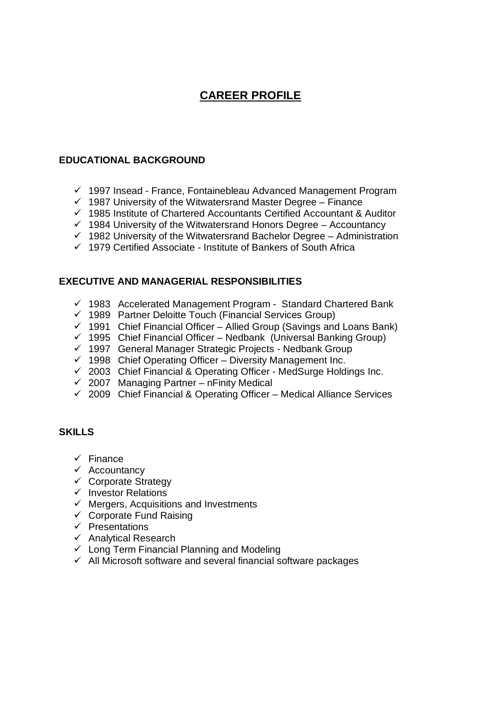## **CAREER PROFILE**

#### **EDUCATIONAL BACKGROUND**

- $\checkmark$  1997 Insead France, Fontainebleau Advanced Management Program
- $\checkmark$  1987 University of the Witwatersrand Master Degree Finance
- $\checkmark$  1985 Institute of Chartered Accountants Certified Accountant & Auditor
- $\checkmark$  1984 University of the Witwatersrand Honors Degree Accountancy
- $\checkmark$  1982 University of the Witwatersrand Bachelor Degree Administration
- $\checkmark$  1979 Certified Associate Institute of Bankers of South Africa

#### **EXECUTIVE AND MANAGERIAL RESPONSIBILITIES**

- $\checkmark$  1983 Accelerated Management Program Standard Chartered Bank
- $\checkmark$  1989 Partner Deloitte Touch (Financial Services Group)
- $\checkmark$  1991 Chief Financial Officer Allied Group (Savings and Loans Bank)
- $\checkmark$  1995 Chief Financial Officer Nedbank (Universal Banking Group)
- 1997 General Manager Strategic Projects Nedbank Group
- $\checkmark$  1998 Chief Operating Officer Diversity Management Inc.
- $\checkmark$  2003 Chief Financial & Operating Officer MedSurge Holdings Inc.
- $\overline{2007}$  Managing Partner nFinity Medical
- $\checkmark$  2009 Chief Financial & Operating Officer Medical Alliance Services

#### **SKILLS**

- $\checkmark$  Finance
- $\checkmark$  Accountancy
- $\checkmark$  Corporate Strategy
- $\checkmark$  Investor Relations
- $\checkmark$  Mergers, Acquisitions and Investments
- $\checkmark$  Corporate Fund Raising
- $\checkmark$  Presentations
- $\checkmark$  Analytical Research
- $\checkmark$  Long Term Financial Planning and Modeling
- $\checkmark$  All Microsoft software and several financial software packages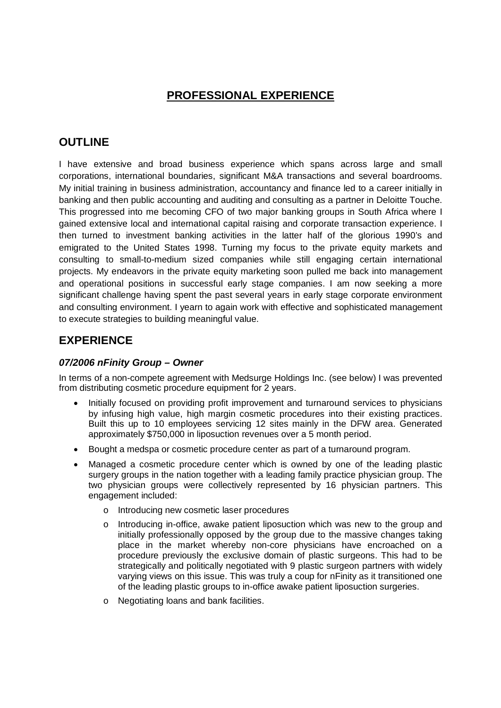## **PROFESSIONAL EXPERIENCE**

## **OUTLINE**

I have extensive and broad business experience which spans across large and small corporations, international boundaries, significant M&A transactions and several boardrooms. My initial training in business administration, accountancy and finance led to a career initially in banking and then public accounting and auditing and consulting as a partner in Deloitte Touche. This progressed into me becoming CFO of two major banking groups in South Africa where I gained extensive local and international capital raising and corporate transaction experience. I then turned to investment banking activities in the latter half of the glorious 1990's and emigrated to the United States 1998. Turning my focus to the private equity markets and consulting to small-to-medium sized companies while still engaging certain international projects. My endeavors in the private equity marketing soon pulled me back into management and operational positions in successful early stage companies. I am now seeking a more significant challenge having spent the past several years in early stage corporate environment and consulting environment. I yearn to again work with effective and sophisticated management to execute strategies to building meaningful value.

### **EXPERIENCE**

#### *07/2006 nFinity Group – Owner*

In terms of a non-compete agreement with Medsurge Holdings Inc. (see below) I was prevented from distributing cosmetic procedure equipment for 2 years.

- Initially focused on providing profit improvement and turnaround services to physicians by infusing high value, high margin cosmetic procedures into their existing practices. Built this up to 10 employees servicing 12 sites mainly in the DFW area. Generated approximately \$750,000 in liposuction revenues over a 5 month period.
- Bought a medspa or cosmetic procedure center as part of a turnaround program.
- Managed a cosmetic procedure center which is owned by one of the leading plastic surgery groups in the nation together with a leading family practice physician group. The two physician groups were collectively represented by 16 physician partners. This engagement included:
	- o Introducing new cosmetic laser procedures
	- $\circ$  Introducing in-office, awake patient liposuction which was new to the group and initially professionally opposed by the group due to the massive changes taking place in the market whereby non-core physicians have encroached on a procedure previously the exclusive domain of plastic surgeons. This had to be strategically and politically negotiated with 9 plastic surgeon partners with widely varying views on this issue. This was truly a coup for nFinity as it transitioned one of the leading plastic groups to in-office awake patient liposuction surgeries.
	- o Negotiating loans and bank facilities.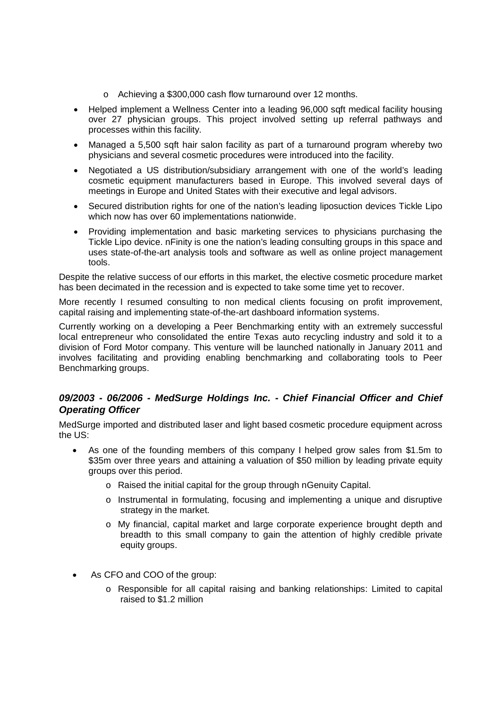- o Achieving a \$300,000 cash flow turnaround over 12 months.
- Helped implement a Wellness Center into a leading 96,000 sqft medical facility housing over 27 physician groups. This project involved setting up referral pathways and processes within this facility.
- Managed a 5,500 sqft hair salon facility as part of a turnaround program whereby two physicians and several cosmetic procedures were introduced into the facility.
- Negotiated a US distribution/subsidiary arrangement with one of the world's leading cosmetic equipment manufacturers based in Europe. This involved several days of meetings in Europe and United States with their executive and legal advisors.
- Secured distribution rights for one of the nation's leading liposuction devices Tickle Lipo which now has over 60 implementations nationwide.
- Providing implementation and basic marketing services to physicians purchasing the Tickle Lipo device. nFinity is one the nation's leading consulting groups in this space and uses state-of-the-art analysis tools and software as well as online project management tools.

Despite the relative success of our efforts in this market, the elective cosmetic procedure market has been decimated in the recession and is expected to take some time yet to recover.

More recently I resumed consulting to non medical clients focusing on profit improvement, capital raising and implementing state-of-the-art dashboard information systems.

Currently working on a developing a Peer Benchmarking entity with an extremely successful local entrepreneur who consolidated the entire Texas auto recycling industry and sold it to a division of Ford Motor company. This venture will be launched nationally in January 2011 and involves facilitating and providing enabling benchmarking and collaborating tools to Peer Benchmarking groups.

#### *09/2003 - 06/2006 - MedSurge Holdings Inc. - Chief Financial Officer and Chief Operating Officer*

MedSurge imported and distributed laser and light based cosmetic procedure equipment across the US:

- As one of the founding members of this company I helped grow sales from \$1.5m to \$35m over three years and attaining a valuation of \$50 million by leading private equity groups over this period.
	- o Raised the initial capital for the group through nGenuity Capital.
	- o Instrumental in formulating, focusing and implementing a unique and disruptive strategy in the market.
	- o My financial, capital market and large corporate experience brought depth and breadth to this small company to gain the attention of highly credible private equity groups.
- As CFO and COO of the group:
	- o Responsible for all capital raising and banking relationships: Limited to capital raised to \$1.2 million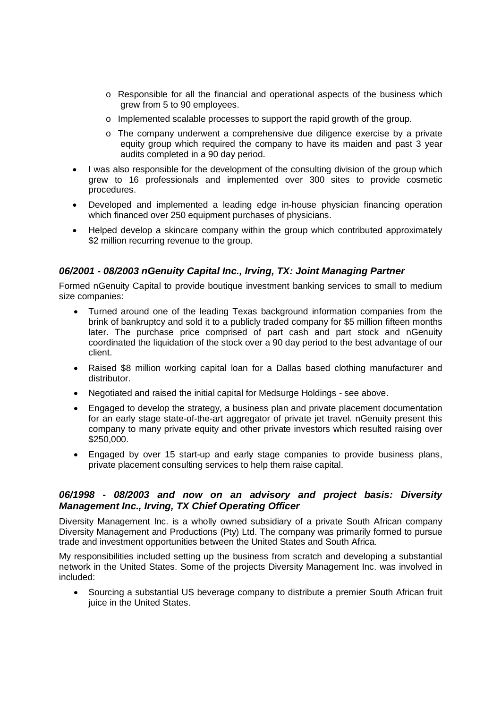- $\circ$  Responsible for all the financial and operational aspects of the business which grew from 5 to 90 employees.
- o Implemented scalable processes to support the rapid growth of the group.
- o The company underwent a comprehensive due diligence exercise by a private equity group which required the company to have its maiden and past 3 year audits completed in a 90 day period.
- I was also responsible for the development of the consulting division of the group which grew to 16 professionals and implemented over 300 sites to provide cosmetic procedures.
- Developed and implemented a leading edge in-house physician financing operation which financed over 250 equipment purchases of physicians.
- Helped develop a skincare company within the group which contributed approximately \$2 million recurring revenue to the group.

#### *06/2001 - 08/2003 nGenuity Capital Inc., Irving, TX: Joint Managing Partner*

Formed nGenuity Capital to provide boutique investment banking services to small to medium size companies:

- Turned around one of the leading Texas background information companies from the brink of bankruptcy and sold it to a publicly traded company for \$5 million fifteen months later. The purchase price comprised of part cash and part stock and nGenuity coordinated the liquidation of the stock over a 90 day period to the best advantage of our client.
- Raised \$8 million working capital loan for a Dallas based clothing manufacturer and distributor.
- Negotiated and raised the initial capital for Medsurge Holdings see above.
- Engaged to develop the strategy, a business plan and private placement documentation for an early stage state-of-the-art aggregator of private jet travel. nGenuity present this company to many private equity and other private investors which resulted raising over \$250,000.
- Engaged by over 15 start-up and early stage companies to provide business plans, private placement consulting services to help them raise capital.

#### *06/1998 - 08/2003 and now on an advisory and project basis: Diversity Management Inc., Irving, TX Chief Operating Officer*

Diversity Management Inc. is a wholly owned subsidiary of a private South African company Diversity Management and Productions (Pty) Ltd. The company was primarily formed to pursue trade and investment opportunities between the United States and South Africa.

My responsibilities included setting up the business from scratch and developing a substantial network in the United States. Some of the projects Diversity Management Inc. was involved in included:

 Sourcing a substantial US beverage company to distribute a premier South African fruit juice in the United States.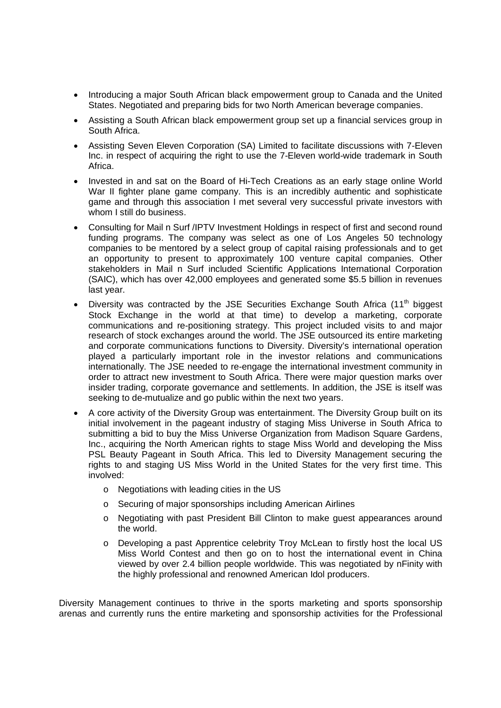- Introducing a major South African black empowerment group to Canada and the United States. Negotiated and preparing bids for two North American beverage companies.
- Assisting a South African black empowerment group set up a financial services group in South Africa.
- Assisting Seven Eleven Corporation (SA) Limited to facilitate discussions with 7-Eleven Inc. in respect of acquiring the right to use the 7-Eleven world-wide trademark in South Africa.
- Invested in and sat on the Board of Hi-Tech Creations as an early stage online World War II fighter plane game company. This is an incredibly authentic and sophisticate game and through this association I met several very successful private investors with whom I still do business.
- Consulting for Mail n Surf /IPTV Investment Holdings in respect of first and second round funding programs. The company was select as one of Los Angeles 50 technology companies to be mentored by a select group of capital raising professionals and to get an opportunity to present to approximately 100 venture capital companies. Other stakeholders in Mail n Surf included Scientific Applications International Corporation (SAIC), which has over 42,000 employees and generated some \$5.5 billion in revenues last year.
- Diversity was contracted by the JSE Securities Exchange South Africa  $(11<sup>th</sup>$  biggest Stock Exchange in the world at that time) to develop a marketing, corporate communications and re-positioning strategy. This project included visits to and major research of stock exchanges around the world. The JSE outsourced its entire marketing and corporate communications functions to Diversity. Diversity's international operation played a particularly important role in the investor relations and communications internationally. The JSE needed to re-engage the international investment community in order to attract new investment to South Africa. There were major question marks over insider trading, corporate governance and settlements. In addition, the JSE is itself was seeking to de-mutualize and go public within the next two years.
- A core activity of the Diversity Group was entertainment. The Diversity Group built on its initial involvement in the pageant industry of staging Miss Universe in South Africa to submitting a bid to buy the Miss Universe Organization from Madison Square Gardens, Inc., acquiring the North American rights to stage Miss World and developing the Miss PSL Beauty Pageant in South Africa. This led to Diversity Management securing the rights to and staging US Miss World in the United States for the very first time. This involved:
	- o Negotiations with leading cities in the US
	- o Securing of major sponsorships including American Airlines
	- o Negotiating with past President Bill Clinton to make guest appearances around the world.
	- o Developing a past Apprentice celebrity Troy McLean to firstly host the local US Miss World Contest and then go on to host the international event in China viewed by over 2.4 billion people worldwide. This was negotiated by nFinity with the highly professional and renowned American Idol producers.

Diversity Management continues to thrive in the sports marketing and sports sponsorship arenas and currently runs the entire marketing and sponsorship activities for the Professional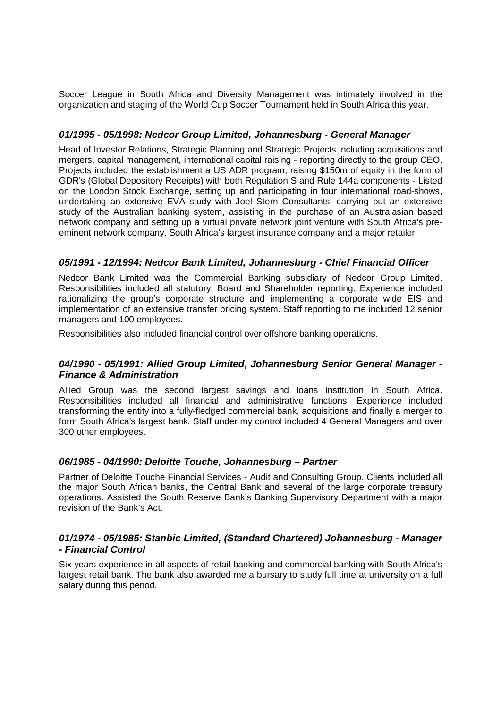Soccer League in South Africa and Diversity Management was intimately involved in the organization and staging of the World Cup Soccer Tournament held in South Africa this year.

#### *01/1995 - 05/1998: Nedcor Group Limited, Johannesburg - General Manager*

Head of Investor Relations, Strategic Planning and Strategic Projects including acquisitions and mergers, capital management, international capital raising - reporting directly to the group CEO. Projects included the establishment a US ADR program, raising \$150m of equity in the form of GDR's (Global Depository Receipts) with both Regulation S and Rule 144a components - Listed on the London Stock Exchange, setting up and participating in four international road-shows, undertaking an extensive EVA study with Joel Stern Consultants, carrying out an extensive study of the Australian banking system, assisting in the purchase of an Australasian based network company and setting up a virtual private network joint venture with South Africa's preeminent network company, South Africa's largest insurance company and a major retailer.

#### *05/1991 - 12/1994: Nedcor Bank Limited, Johannesburg - Chief Financial Officer*

Nedcor Bank Limited was the Commercial Banking subsidiary of Nedcor Group Limited. Responsibilities included all statutory, Board and Shareholder reporting. Experience included rationalizing the group's corporate structure and implementing a corporate wide EIS and implementation of an extensive transfer pricing system. Staff reporting to me included 12 senior managers and 100 employees.

Responsibilities also included financial control over offshore banking operations.

#### *04/1990 - 05/1991: Allied Group Limited, Johannesburg Senior General Manager - Finance & Administration*

Allied Group was the second largest savings and loans institution in South Africa. Responsibilities included all financial and administrative functions. Experience included transforming the entity into a fully-fledged commercial bank, acquisitions and finally a merger to form South Africa's largest bank. Staff under my control included 4 General Managers and over 300 other employees.

#### *06/1985 - 04/1990: Deloitte Touche, Johannesburg – Partner*

Partner of Deloitte Touche Financial Services - Audit and Consulting Group. Clients included all the major South African banks, the Central Bank and several of the large corporate treasury operations. Assisted the South Reserve Bank's Banking Supervisory Department with a major revision of the Bank's Act.

#### *01/1974 - 05/1985: Stanbic Limited, (Standard Chartered) Johannesburg - Manager - Financial Control*

Six years experience in all aspects of retail banking and commercial banking with South Africa's largest retail bank. The bank also awarded me a bursary to study full time at university on a full salary during this period.